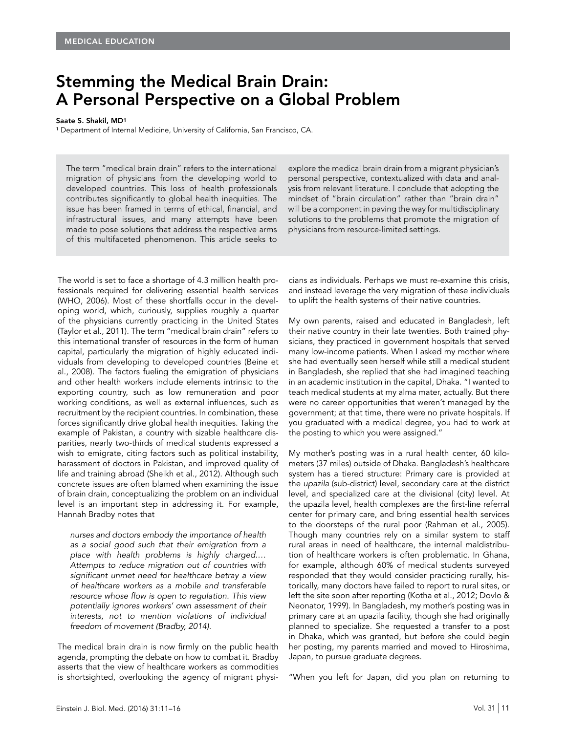## Stemming the Medical Brain Drain: A Personal Perspective on a Global Problem

## Saate S. Shakil, MD1

<sup>1</sup> Department of Internal Medicine, University of California, San Francisco, CA.

The term "medical brain drain" refers to the international migration of physicians from the developing world to developed countries. This loss of health professionals contributes significantly to global health inequities. The issue has been framed in terms of ethical, financial, and infrastructural issues, and many attempts have been made to pose solutions that address the respective arms of this multifaceted phenomenon. This article seeks to

explore the medical brain drain from a migrant physician's personal perspective, contextualized with data and analysis from relevant literature. I conclude that adopting the mindset of "brain circulation" rather than "brain drain" will be a component in paving the way for multidisciplinary solutions to the problems that promote the migration of physicians from resource-limited settings.

The world is set to face a shortage of 4.3 million health professionals required for delivering essential health services (WHO, 2006). Most of these shortfalls occur in the developing world, which, curiously, supplies roughly a quarter of the physicians currently practicing in the United States (Taylor et al., 2011). The term "medical brain drain" refers to this international transfer of resources in the form of human capital, particularly the migration of highly educated individuals from developing to developed countries (Beine et al., 2008). The factors fueling the emigration of physicians and other health workers include elements intrinsic to the exporting country, such as low remuneration and poor working conditions, as well as external influences, such as recruitment by the recipient countries. In combination, these forces significantly drive global health inequities. Taking the example of Pakistan, a country with sizable healthcare disparities, nearly two-thirds of medical students expressed a wish to emigrate, citing factors such as political instability, harassment of doctors in Pakistan, and improved quality of life and training abroad (Sheikh et al., 2012). Although such concrete issues are often blamed when examining the issue of brain drain, conceptualizing the problem on an individual level is an important step in addressing it. For example, Hannah Bradby notes that

*nurses and doctors embody the importance of health as a social good such that their emigration from a place with health problems is highly charged.… Attempts to reduce migration out of countries with significant unmet need for healthcare betray a view of healthcare workers as a mobile and transferable resource whose flow is open to regulation. This view potentially ignores workers' own assessment of their interests, not to mention violations of individual freedom of movement (Bradby, 2014).*

The medical brain drain is now firmly on the public health agenda, prompting the debate on how to combat it. Bradby asserts that the view of healthcare workers as commodities is shortsighted, overlooking the agency of migrant physi-

cians as individuals. Perhaps we must re-examine this crisis, and instead leverage the very migration of these individuals to uplift the health systems of their native countries.

My own parents, raised and educated in Bangladesh, left their native country in their late twenties. Both trained physicians, they practiced in government hospitals that served many low-income patients. When I asked my mother where she had eventually seen herself while still a medical student in Bangladesh, she replied that she had imagined teaching in an academic institution in the capital, Dhaka. "I wanted to teach medical students at my alma mater, actually. But there were no career opportunities that weren't managed by the government; at that time, there were no private hospitals. If you graduated with a medical degree, you had to work at the posting to which you were assigned."

My mother's posting was in a rural health center, 60 kilometers (37 miles) outside of Dhaka. Bangladesh's healthcare system has a tiered structure: Primary care is provided at the *upazila* (sub-district) level, secondary care at the district level, and specialized care at the divisional (city) level. At the upazila level, health complexes are the first-line referral center for primary care, and bring essential health services to the doorsteps of the rural poor (Rahman et al., 2005). Though many countries rely on a similar system to staff rural areas in need of healthcare, the internal maldistribution of healthcare workers is often problematic. In Ghana, for example, although 60% of medical students surveyed responded that they would consider practicing rurally, historically, many doctors have failed to report to rural sites, or left the site soon after reporting (Kotha et al., 2012; Dovlo & Neonator, 1999). In Bangladesh, my mother's posting was in primary care at an upazila facility, though she had originally planned to specialize. She requested a transfer to a post in Dhaka, which was granted, but before she could begin her posting, my parents married and moved to Hiroshima, Japan, to pursue graduate degrees.

"When you left for Japan, did you plan on returning to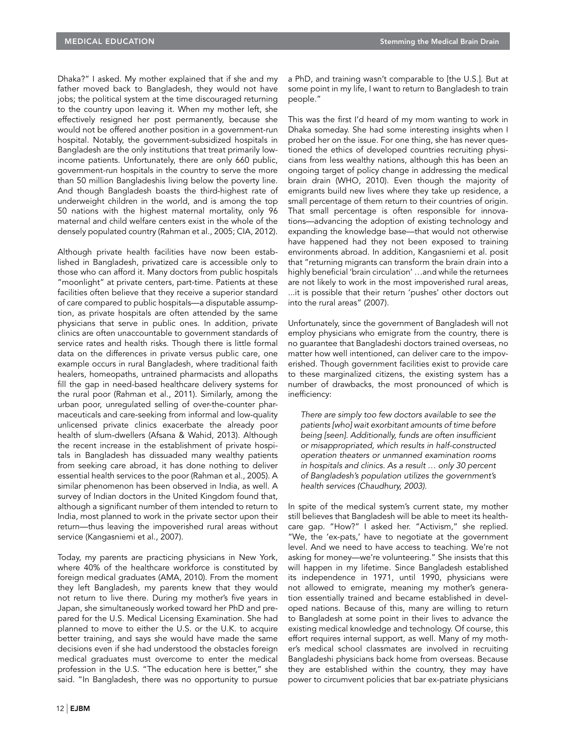Dhaka?" I asked. My mother explained that if she and my father moved back to Bangladesh, they would not have jobs; the political system at the time discouraged returning to the country upon leaving it. When my mother left, she effectively resigned her post permanently, because she would not be offered another position in a government-run hospital. Notably, the government-subsidized hospitals in Bangladesh are the only institutions that treat primarily lowincome patients. Unfortunately, there are only 660 public, government-run hospitals in the country to serve the more than 50 million Bangladeshis living below the poverty line. And though Bangladesh boasts the third-highest rate of underweight children in the world, and is among the top 50 nations with the highest maternal mortality, only 96 maternal and child welfare centers exist in the whole of the densely populated country (Rahman et al., 2005; CIA, 2012).

Although private health facilities have now been established in Bangladesh, privatized care is accessible only to those who can afford it. Many doctors from public hospitals "moonlight" at private centers, part-time. Patients at these facilities often believe that they receive a superior standard of care compared to public hospitals—a disputable assumption, as private hospitals are often attended by the same physicians that serve in public ones. In addition, private clinics are often unaccountable to government standards of service rates and health risks. Though there is little formal data on the differences in private versus public care, one example occurs in rural Bangladesh, where traditional faith healers, homeopaths, untrained pharmacists and allopaths fill the gap in need-based healthcare delivery systems for the rural poor (Rahman et al., 2011). Similarly, among the urban poor, unregulated selling of over-the-counter pharmaceuticals and care-seeking from informal and low-quality unlicensed private clinics exacerbate the already poor health of slum-dwellers (Afsana & Wahid, 2013). Although the recent increase in the establishment of private hospitals in Bangladesh has dissuaded many wealthy patients from seeking care abroad, it has done nothing to deliver essential health services to the poor (Rahman et al., 2005). A similar phenomenon has been observed in India, as well. A survey of Indian doctors in the United Kingdom found that, although a significant number of them intended to return to India, most planned to work in the private sector upon their return—thus leaving the impoverished rural areas without service (Kangasniemi et al., 2007).

Today, my parents are practicing physicians in New York, where 40% of the healthcare workforce is constituted by foreign medical graduates (AMA, 2010). From the moment they left Bangladesh, my parents knew that they would not return to live there. During my mother's five years in Japan, she simultaneously worked toward her PhD and prepared for the U.S. Medical Licensing Examination. She had planned to move to either the U.S. or the U.K. to acquire better training, and says she would have made the same decisions even if she had understood the obstacles foreign medical graduates must overcome to enter the medical profession in the U.S. "The education here is better," she said. "In Bangladesh, there was no opportunity to pursue

a PhD, and training wasn't comparable to [the U.S.]. But at some point in my life, I want to return to Bangladesh to train people."

This was the first I'd heard of my mom wanting to work in Dhaka someday. She had some interesting insights when I probed her on the issue. For one thing, she has never questioned the ethics of developed countries recruiting physicians from less wealthy nations, although this has been an ongoing target of policy change in addressing the medical brain drain (WHO, 2010). Even though the majority of emigrants build new lives where they take up residence, a small percentage of them return to their countries of origin. That small percentage is often responsible for innovations—advancing the adoption of existing technology and expanding the knowledge base—that would not otherwise have happened had they not been exposed to training environments abroad. In addition, Kangasniemi et al. posit that "returning migrants can transform the brain drain into a highly beneficial 'brain circulation' ... and while the returnees are not likely to work in the most impoverished rural areas, ...it is possible that their return 'pushes' other doctors out into the rural areas" (2007).

Unfortunately, since the government of Bangladesh will not employ physicians who emigrate from the country, there is no guarantee that Bangladeshi doctors trained overseas, no matter how well intentioned, can deliver care to the impoverished. Though government facilities exist to provide care to these marginalized citizens, the existing system has a number of drawbacks, the most pronounced of which is inefficiency:

*There are simply too few doctors available to see the patients [who] wait exorbitant amounts of time before being [seen]. Additionally, funds are often insufficient or misappropriated, which results in half-constructed operation theaters or unmanned examination rooms in hospitals and clinics. As a result … only 30 percent of Bangladesh's population utilizes the government's health services (Chaudhury, 2003).*

In spite of the medical system's current state, my mother still believes that Bangladesh will be able to meet its healthcare gap. "How?" I asked her. "Activism," she replied. "We, the 'ex-pats,' have to negotiate at the government level. And we need to have access to teaching. We're not asking for money—we're volunteering." She insists that this will happen in my lifetime. Since Bangladesh established its independence in 1971, until 1990, physicians were not allowed to emigrate, meaning my mother's generation essentially trained and became established in developed nations. Because of this, many are willing to return to Bangladesh at some point in their lives to advance the existing medical knowledge and technology. Of course, this effort requires internal support, as well. Many of my mother's medical school classmates are involved in recruiting Bangladeshi physicians back home from overseas. Because they are established within the country, they may have power to circumvent policies that bar ex-patriate physicians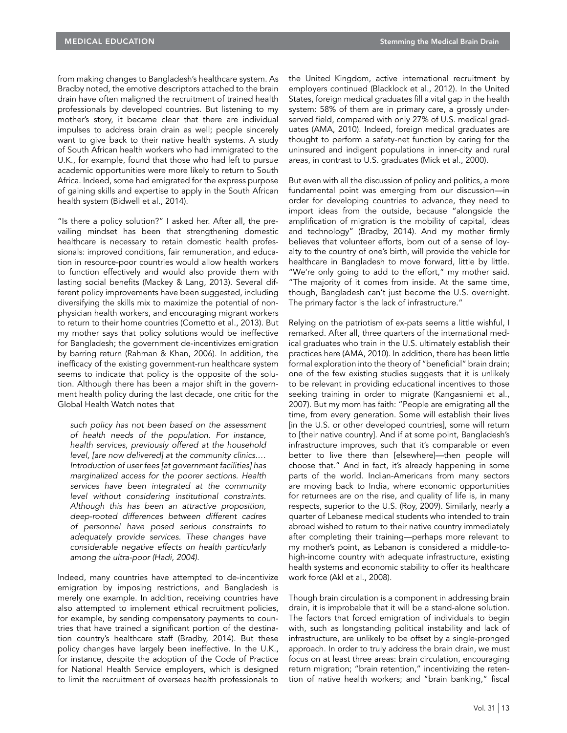from making changes to Bangladesh's healthcare system. As Bradby noted, the emotive descriptors attached to the brain drain have often maligned the recruitment of trained health professionals by developed countries. But listening to my mother's story, it became clear that there are individual impulses to address brain drain as well; people sincerely want to give back to their native health systems. A study of South African health workers who had immigrated to the U.K., for example, found that those who had left to pursue academic opportunities were more likely to return to South Africa. Indeed, some had emigrated for the express purpose of gaining skills and expertise to apply in the South African health system (Bidwell et al., 2014).

"Is there a policy solution?" I asked her. After all, the prevailing mindset has been that strengthening domestic healthcare is necessary to retain domestic health professionals: improved conditions, fair remuneration, and education in resource-poor countries would allow health workers to function effectively and would also provide them with lasting social benefits (Mackey & Lang, 2013). Several different policy improvements have been suggested, including diversifying the skills mix to maximize the potential of nonphysician health workers, and encouraging migrant workers to return to their home countries (Cometto et al., 2013). But my mother says that policy solutions would be ineffective for Bangladesh; the government de-incentivizes emigration by barring return (Rahman & Khan, 2006). In addition, the inefficacy of the existing government-run healthcare system seems to indicate that policy is the opposite of the solution. Although there has been a major shift in the government health policy during the last decade, one critic for the Global Health Watch notes that

*such policy has not been based on the assessment of health needs of the population. For instance, health services, previously offered at the household level, [are now delivered] at the community clinics.… Introduction of user fees [at government facilities] has marginalized access for the poorer sections. Health services have been integrated at the community level without considering institutional constraints. Although this has been an attractive proposition, deep-rooted differences between different cadres of personnel have posed serious constraints to adequately provide services. These changes have considerable negative effects on health particularly among the ultra-poor (Hadi, 2004).*

Indeed, many countries have attempted to de-incentivize emigration by imposing restrictions, and Bangladesh is merely one example. In addition, receiving countries have also attempted to implement ethical recruitment policies, for example, by sending compensatory payments to countries that have trained a significant portion of the destination country's healthcare staff (Bradby, 2014). But these policy changes have largely been ineffective. In the U.K., for instance, despite the adoption of the Code of Practice for National Health Service employers, which is designed to limit the recruitment of overseas health professionals to

the United Kingdom, active international recruitment by employers continued (Blacklock et al., 2012). In the United States, foreign medical graduates fill a vital gap in the health system: 58% of them are in primary care, a grossly underserved field, compared with only 27% of U.S. medical graduates (AMA, 2010). Indeed, foreign medical graduates are thought to perform a safety-net function by caring for the uninsured and indigent populations in inner-city and rural areas, in contrast to U.S. graduates (Mick et al., 2000).

But even with all the discussion of policy and politics, a more fundamental point was emerging from our discussion—in order for developing countries to advance, they need to import ideas from the outside, because "alongside the amplification of migration is the mobility of capital, ideas and technology" (Bradby, 2014). And my mother firmly believes that volunteer efforts, born out of a sense of loyalty to the country of one's birth, will provide the vehicle for healthcare in Bangladesh to move forward, little by little. "We're only going to add to the effort," my mother said. "The majority of it comes from inside. At the same time, though, Bangladesh can't just become the U.S. overnight. The primary factor is the lack of infrastructure."

Relying on the patriotism of ex-pats seems a little wishful, I remarked. After all, three quarters of the international medical graduates who train in the U.S. ultimately establish their practices here (AMA, 2010). In addition, there has been little formal exploration into the theory of "beneficial" brain drain; one of the few existing studies suggests that it is unlikely to be relevant in providing educational incentives to those seeking training in order to migrate (Kangasniemi et al., 2007). But my mom has faith: "People are emigrating all the time, from every generation. Some will establish their lives [in the U.S. or other developed countries], some will return to [their native country]. And if at some point, Bangladesh's infrastructure improves, such that it's comparable or even better to live there than [elsewhere]—then people will choose that." And in fact, it's already happening in some parts of the world. Indian-Americans from many sectors are moving back to India, where economic opportunities for returnees are on the rise, and quality of life is, in many respects, superior to the U.S. (Roy, 2009). Similarly, nearly a quarter of Lebanese medical students who intended to train abroad wished to return to their native country immediately after completing their training—perhaps more relevant to my mother's point, as Lebanon is considered a middle-tohigh-income country with adequate infrastructure, existing health systems and economic stability to offer its healthcare work force (Akl et al., 2008).

Though brain circulation is a component in addressing brain drain, it is improbable that it will be a stand-alone solution. The factors that forced emigration of individuals to begin with, such as longstanding political instability and lack of infrastructure, are unlikely to be offset by a single-pronged approach. In order to truly address the brain drain, we must focus on at least three areas: brain circulation, encouraging return migration; "brain retention," incentivizing the retention of native health workers; and "brain banking," fiscal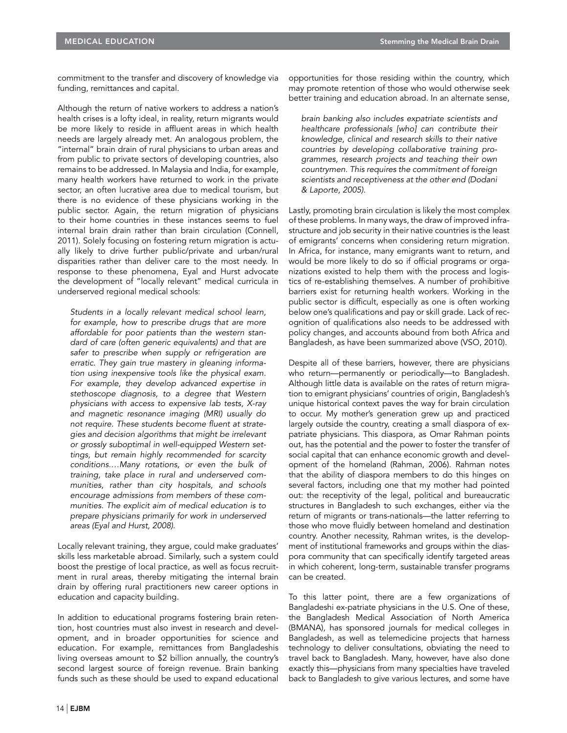commitment to the transfer and discovery of knowledge via funding, remittances and capital.

Although the return of native workers to address a nation's health crises is a lofty ideal, in reality, return migrants would be more likely to reside in affluent areas in which health needs are largely already met. An analogous problem, the "internal" brain drain of rural physicians to urban areas and from public to private sectors of developing countries, also remains to be addressed. In Malaysia and India, for example, many health workers have returned to work in the private sector, an often lucrative area due to medical tourism, but there is no evidence of these physicians working in the public sector. Again, the return migration of physicians to their home countries in these instances seems to fuel internal brain drain rather than brain circulation (Connell, 2011). Solely focusing on fostering return migration is actually likely to drive further public/private and urban/rural disparities rather than deliver care to the most needy. In response to these phenomena, Eyal and Hurst advocate the development of "locally relevant" medical curricula in underserved regional medical schools:

*Students in a locally relevant medical school learn, for example, how to prescribe drugs that are more affordable for poor patients than the western standard of care (often generic equivalents) and that are safer to prescribe when supply or refrigeration are erratic. They gain true mastery in gleaning information using inexpensive tools like the physical exam. For example, they develop advanced expertise in stethoscope diagnosis, to a degree that Western physicians with access to expensive lab tests, X-ray and magnetic resonance imaging (MRI) usually do not require. These students become fluent at strategies and decision algorithms that might be irrelevant or grossly suboptimal in well-equipped Western settings, but remain highly recommended for scarcity conditions.…Many rotations, or even the bulk of training, take place in rural and underserved communities, rather than city hospitals, and schools encourage admissions from members of these communities. The explicit aim of medical education is to prepare physicians primarily for work in underserved areas (Eyal and Hurst, 2008).*

Locally relevant training, they argue, could make graduates' skills less marketable abroad. Similarly, such a system could boost the prestige of local practice, as well as focus recruitment in rural areas, thereby mitigating the internal brain drain by offering rural practitioners new career options in education and capacity building.

In addition to educational programs fostering brain retention, host countries must also invest in research and development, and in broader opportunities for science and education. For example, remittances from Bangladeshis living overseas amount to \$2 billion annually, the country's second largest source of foreign revenue. Brain banking funds such as these should be used to expand educational opportunities for those residing within the country, which may promote retention of those who would otherwise seek better training and education abroad. In an alternate sense,

*brain banking also includes expatriate scientists and healthcare professionals [who] can contribute their knowledge, clinical and research skills to their native countries by developing collaborative training programmes, research projects and teaching their own countrymen. This requires the commitment of foreign scientists and receptiveness at the other end (Dodani & Laporte, 2005).*

Lastly, promoting brain circulation is likely the most complex of these problems. In many ways, the draw of improved infrastructure and job security in their native countries is the least of emigrants' concerns when considering return migration. In Africa, for instance, many emigrants want to return, and would be more likely to do so if official programs or organizations existed to help them with the process and logistics of re-establishing themselves. A number of prohibitive barriers exist for returning health workers. Working in the public sector is difficult, especially as one is often working below one's qualifications and pay or skill grade. Lack of recognition of qualifications also needs to be addressed with policy changes, and accounts abound from both Africa and Bangladesh, as have been summarized above (VSO, 2010).

Despite all of these barriers, however, there are physicians who return—permanently or periodically—to Bangladesh. Although little data is available on the rates of return migration to emigrant physicians' countries of origin, Bangladesh's unique historical context paves the way for brain circulation to occur. My mother's generation grew up and practiced largely outside the country, creating a small diaspora of expatriate physicians. This diaspora, as Omar Rahman points out, has the potential and the power to foster the transfer of social capital that can enhance economic growth and development of the homeland (Rahman, 2006). Rahman notes that the ability of diaspora members to do this hinges on several factors, including one that my mother had pointed out: the receptivity of the legal, political and bureaucratic structures in Bangladesh to such exchanges, either via the return of migrants or trans-nationals—the latter referring to those who move fluidly between homeland and destination country. Another necessity, Rahman writes, is the development of institutional frameworks and groups within the diaspora community that can specifically identify targeted areas in which coherent, long-term, sustainable transfer programs can be created.

To this latter point, there are a few organizations of Bangladeshi ex-patriate physicians in the U.S. One of these, the Bangladesh Medical Association of North America (BMANA), has sponsored journals for medical colleges in Bangladesh, as well as telemedicine projects that harness technology to deliver consultations, obviating the need to travel back to Bangladesh. Many, however, have also done exactly this—physicians from many specialties have traveled back to Bangladesh to give various lectures, and some have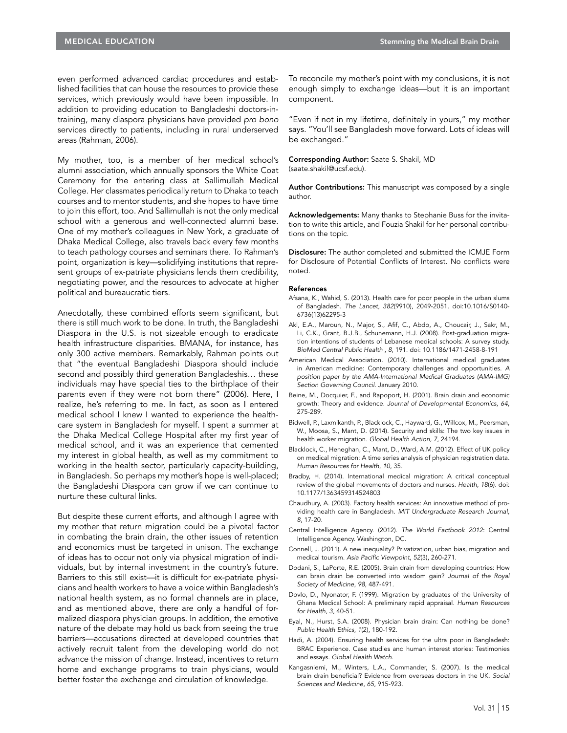even performed advanced cardiac procedures and established facilities that can house the resources to provide these services, which previously would have been impossible. In addition to providing education to Bangladeshi doctors-intraining, many diaspora physicians have provided *pro bono* services directly to patients, including in rural underserved areas (Rahman, 2006).

My mother, too, is a member of her medical school's alumni association, which annually sponsors the White Coat Ceremony for the entering class at Sallimullah Medical College. Her classmates periodically return to Dhaka to teach courses and to mentor students, and she hopes to have time to join this effort, too. And Sallimullah is not the only medical school with a generous and well-connected alumni base. One of my mother's colleagues in New York, a graduate of Dhaka Medical College, also travels back every few months to teach pathology courses and seminars there. To Rahman's point, organization is key—solidifying institutions that represent groups of ex-patriate physicians lends them credibility, negotiating power, and the resources to advocate at higher political and bureaucratic tiers.

Anecdotally, these combined efforts seem significant, but there is still much work to be done. In truth, the Bangladeshi Diaspora in the U.S. is not sizeable enough to eradicate health infrastructure disparities. BMANA, for instance, has only 300 active members. Remarkably, Rahman points out that "the eventual Bangladeshi Diaspora should include second and possibly third generation Bangladeshis… these individuals may have special ties to the birthplace of their parents even if they were not born there" (2006). Here, I realize, he's referring to me. In fact, as soon as I entered medical school I knew I wanted to experience the healthcare system in Bangladesh for myself. I spent a summer at the Dhaka Medical College Hospital after my first year of medical school, and it was an experience that cemented my interest in global health, as well as my commitment to working in the health sector, particularly capacity-building, in Bangladesh. So perhaps my mother's hope is well-placed; the Bangladeshi Diaspora can grow if we can continue to nurture these cultural links.

But despite these current efforts, and although I agree with my mother that return migration could be a pivotal factor in combating the brain drain, the other issues of retention and economics must be targeted in unison. The exchange of ideas has to occur not only via physical migration of individuals, but by internal investment in the country's future. Barriers to this still exist—it is difficult for ex-patriate physicians and health workers to have a voice within Bangladesh's national health system, as no formal channels are in place, and as mentioned above, there are only a handful of formalized diaspora physician groups. In addition, the emotive nature of the debate may hold us back from seeing the true barriers—accusations directed at developed countries that actively recruit talent from the developing world do not advance the mission of change. Instead, incentives to return home and exchange programs to train physicians, would better foster the exchange and circulation of knowledge.

To reconcile my mother's point with my conclusions, it is not enough simply to exchange ideas—but it is an important component.

"Even if not in my lifetime, definitely in yours," my mother says. "You'll see Bangladesh move forward. Lots of ideas will be exchanged."

Corresponding Author: Saate S. Shakil, MD (saate.shakil@ucsf.edu).

Author Contributions: This manuscript was composed by a single author.

Acknowledgements: Many thanks to Stephanie Buss for the invitation to write this article, and Fouzia Shakil for her personal contributions on the topic.

Disclosure: The author completed and submitted the ICMJE Form for Disclosure of Potential Conflicts of Interest. No conflicts were noted.

## References

- Afsana, K., Wahid, S. (2013). Health care for poor people in the urban slums of Bangladesh. *The Lancet*, *382*(9910), 2049-2051. doi:10.1016/S0140- 6736(13)62295-3
- Akl, E.A., Maroun, N., Major, S., Afif, C., Abdo, A., Choucair, J., Sakr, M., Li, C.K., Grant, B.J.B., Schunemann, H.J. (2008). Post-graduation migration intentions of students of Lebanese medical schools: A survey study. *[BioMed Central Public Health](http://www.ncbi.nlm.nih.gov/pubmed/18518954)* , *8*, 191. doi: 10.1186/1471-2458-8-191
- American Medical Association. (2010). International medical graduates in American medicine: Contemporary challenges and opportunities. *A position paper by the AMA-International Medical Graduates (AMA-IMG) Section Governing Council*. January 2010.
- Beine, M., Docquier, F., and Rapoport, H. (2001). Brain drain and economic growth: Theory and evidence. *Journal of Developmental Economics, 64*, 275-289.
- Bidwell, P., Laxmikanth, P., Blacklock, C., Hayward, G., Willcox, M., Peersman, W., Moosa, S., Mant, D. (2014). Security and skills: The two key issues in health worker migration. *Global Health Action, 7*, 24194.
- Blacklock, C., Heneghan, C., Mant, D., Ward, A.M. (2012). Effect of UK policy on medical migration: A time series analysis of physician registration data. *Human Resources for Health*, *10*, 35.
- Bradby, H. (2014). International medical migration: A critical conceptual review of the global movements of doctors and nurses. *Health, 18*(6). doi: 10.1177/1363459314524803
- Chaudhury, A. (2003). Factory health services: An innovative method of providing health care in Bangladesh. *MIT Undergraduate Research Journal, 8*, 17-20*.*
- Central Intelligence Agency. (2012). *The World Factbook 2012*: Central Intelligence Agency. Washington, DC.
- Connell, J. (2011). A new inequality? Privatization, urban bias, migration and medical tourism. *Asia Pacific Viewpoint*, *52*(3), 260-271.
- Dodani, S., LaPorte, R.E. (2005). Brain drain from developing countries: How can brain drain be converted into wisdom gain? *Journal of the Royal Society of Medicine*, *98*, 487-491.
- Dovlo, D., Nyonator, F. (1999). Migration by graduates of the University of Ghana Medical School: A preliminary rapid appraisal. *Human Resources for Health, 3*, 40-51.
- Eyal, N., Hurst, S.A. (2008). Physician brain drain: Can nothing be done? *Public Health Ethics*, *1*(2), 180-192.
- Hadi, A. (2004). Ensuring health services for the ultra poor in Bangladesh: BRAC Experience. Case studies and human interest stories: Testimonies and essays. *Global Health Watch*.
- Kangasniemi, M., Winters, L.A., Commander, S. (2007). Is the medical brain drain beneficial? Evidence from overseas doctors in the UK. *Social Sciences and Medicine*, *65*, 915-923.